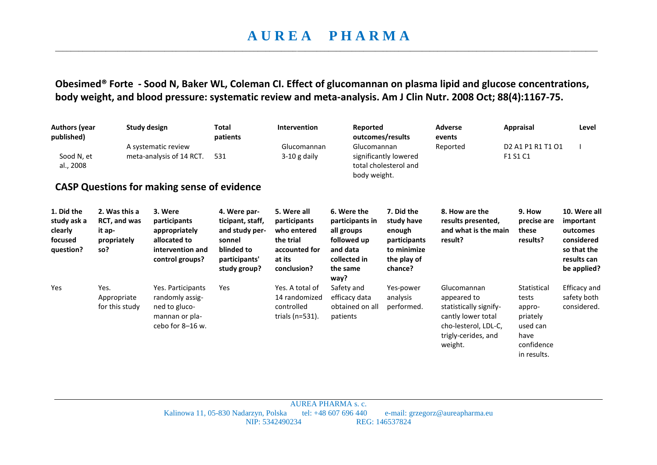## **A U R E A P H A R M A**  \_\_\_\_\_\_\_\_\_\_\_\_\_\_\_\_\_\_\_\_\_\_\_\_\_\_\_\_\_\_\_\_\_\_\_\_\_\_\_\_\_\_\_\_\_\_\_\_\_\_\_\_\_\_\_\_\_\_\_\_\_\_\_\_\_\_\_\_\_\_\_\_\_\_\_\_\_\_\_\_\_\_\_\_\_\_\_\_\_\_\_\_\_\_\_\_\_\_\_\_\_\_\_\_\_\_\_\_\_\_\_\_\_\_\_\_\_\_\_\_\_\_\_\_\_\_\_\_\_\_\_\_\_\_\_\_\_\_\_

**Obesimed® Forte - Sood N, Baker WL, Coleman CI. Effect of glucomannan on plasma lipid and glucose concentrations, body weight, and blood pressure: systematic review and meta-analysis. Am J Clin Nutr. 2008 Oct; 88(4):1167-75.** 

| <b>Authors (year</b><br>published)<br>Sood N, et<br>al., 2008 |                                                               | <b>Study design</b><br>A systematic review<br>meta-analysis of 14 RCT.<br><b>CASP Questions for making sense of evidence</b> | <b>Total</b><br>patients<br>531                                                                             | Intervention<br>Glucomannan<br>$3-10$ g daily                                                     | Reported<br>outcomes/results<br>Glucomannan<br>significantly lowered<br>total cholesterol and<br>body weight. |                                                                                             | <b>Adverse</b><br>events<br>Reported                                                                                                 | <b>Appraisal</b><br>D <sub>2</sub> A <sub>1</sub> P <sub>1</sub> R <sub>1</sub> T <sub>1</sub> O <sub>1</sub><br>F1 S1 C1 | Level                                                                                            |
|---------------------------------------------------------------|---------------------------------------------------------------|------------------------------------------------------------------------------------------------------------------------------|-------------------------------------------------------------------------------------------------------------|---------------------------------------------------------------------------------------------------|---------------------------------------------------------------------------------------------------------------|---------------------------------------------------------------------------------------------|--------------------------------------------------------------------------------------------------------------------------------------|---------------------------------------------------------------------------------------------------------------------------|--------------------------------------------------------------------------------------------------|
| 1. Did the<br>study ask a<br>clearly<br>focused<br>question?  | 2. Was this a<br>RCT, and was<br>it ap-<br>propriately<br>so? | 3. Were<br>participants<br>appropriately<br>allocated to<br>intervention and<br>control groups?                              | 4. Were par-<br>ticipant, staff,<br>and study per-<br>sonnel<br>blinded to<br>participants'<br>study group? | 5. Were all<br>participants<br>who entered<br>the trial<br>accounted for<br>at its<br>conclusion? | 6. Were the<br>participants in<br>all groups<br>followed up<br>and data<br>collected in<br>the same<br>way?   | 7. Did the<br>study have<br>enough<br>participants<br>to minimize<br>the play of<br>chance? | 8. How are the<br>results presented,<br>and what is the main<br>result?                                                              | 9. How<br>precise are<br>these<br>results?                                                                                | 10. Were all<br>important<br>outcomes<br>considered<br>so that the<br>results can<br>be applied? |
| Yes                                                           | Yes.<br>Appropriate<br>for this study                         | Yes. Participants<br>randomly assig-<br>ned to gluco-<br>mannan or pla-<br>cebo for 8-16 w.                                  | Yes                                                                                                         | Yes. A total of<br>14 randomized<br>controlled<br>trials ( $n=531$ ).                             | Safety and<br>efficacy data<br>obtained on all<br>patients                                                    | Yes-power<br>analysis<br>performed.                                                         | Glucomannan<br>appeared to<br>statistically signify-<br>cantly lower total<br>cho-lesterol, LDL-C,<br>trigly-cerides, and<br>weight. | Statistical<br>tests<br>appro-<br>priately<br>used can<br>have<br>confidence<br>in results.                               | Efficacy and<br>safety both<br>considered.                                                       |